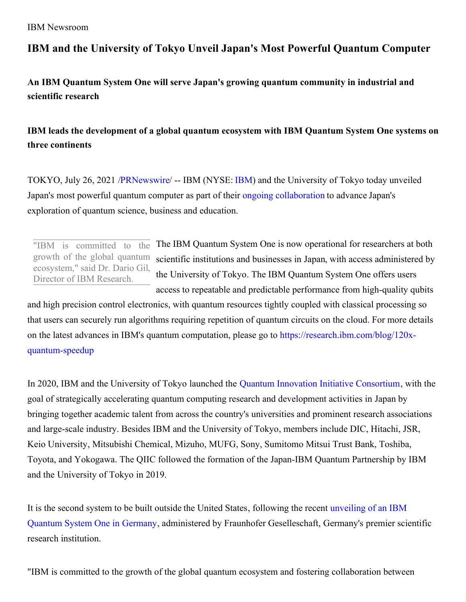## **IBM and the University of Tokyo Unveil Japan's Most Powerful Quantum Computer**

**An IBM Quantum System One will serve Japan's growing quantum community in industrial and scientific research**

## **IBM leads the development of a global quantum ecosystem with IBM Quantum System One systems on three continents**

TOKYO, July 26, 2021 [/PRNewswire](http://www.prnewswire.com/)/ -- IBM (NYSE: [IBM\)](https://c212.net/c/link/?t=0&l=en&o=3239984-1&h=3459991273&u=http%3A%2F%2Fwww.ibm.com%2Finvestor&a=IBM) and the University of Tokyo today unveiled Japan's most powerful quantum computer as part of their ongoing [collaboration](https://c212.net/c/link/?t=0&l=en&o=3239984-1&h=862969415&u=https%3A%2F%2Fnewsroom.ibm.com%2F2019-12-19-IBM-and-the-University-of-Tokyo-Launch-Quantum-Computing-Initiative-for-Japan&a=ongoing+collaboration) to advance Japan's exploration of quantum science, business and education.

"IBM is committed to the growth of the global quantum ecosystem," said Dr. Dario Gil, Director of IBM Research.

The IBM Quantum System One is now operational for researchers at both scientific institutions and businesses in Japan, with access administered by the University of Tokyo. The IBM Quantum System One offers users access to repeatable and predictable performance from high-quality qubits

and high precision control electronics, with quantum resources tightly coupled with classical processing so that users can securely run algorithms requiring repetition of quantum circuits on the cloud. For more details on the latest advances in IBM's quantum computation, please go to [https://research.ibm.com/blog/120x](https://c212.net/c/link/?t=0&l=en&o=3239984-1&h=168755092&u=https%3A%2F%2Fresearch.ibm.com%2Fblog%2F120x-quantum-speedup&a=https%3A%2F%2Fresearch.ibm.com%2Fblog%2F120x-quantum-speedup)quantum-speedup

In 2020, IBM and the University of Tokyo launched the Quantum Innovation Initiative [Consortium](https://c212.net/c/link/?t=0&l=en&o=3239984-1&h=1268758232&u=https%3A%2F%2Fnewsroom.ibm.com%2F2020-07-30-IBM-and-the-University-of-Tokyo-Unveil-the-Quantum-Innovation-Initiative-Consortium-to-Accelerate-Japans-Quantum-Research-and-Development-Leadership&a=Quantum+Innovation+Initiative+Consortium), with the goal of strategically accelerating quantum computing research and development activities in Japan by bringing together academic talent from across the country's universities and prominent research associations and large-scale industry. Besides IBM and the University of Tokyo, members include DIC, Hitachi, JSR, Keio University, Mitsubishi Chemical, Mizuho, MUFG, Sony, Sumitomo Mitsui Trust Bank, Toshiba, Toyota, and Yokogawa. The QIIC followed the formation of the Japan-IBM Quantum Partnership by IBM and the University of Tokyo in 2019.

It is the second system to be built outside the United States, following the recent unveiling of an IBM Quantum System One in Germany, administered by Fraunhofer [Geselleschaft,](https://c212.net/c/link/?t=0&l=en&o=3239984-1&h=4024394015&u=https%3A%2F%2Fwww.ibm.com%2Fde-de%2Fevents%2Fquantum-opening-en&a=unveiling+of+an+IBM+Quantum+System+One+in+Germany) Germany's premier scientific research institution.

"IBM is committed to the growth of the global quantum ecosystem and fostering collaboration between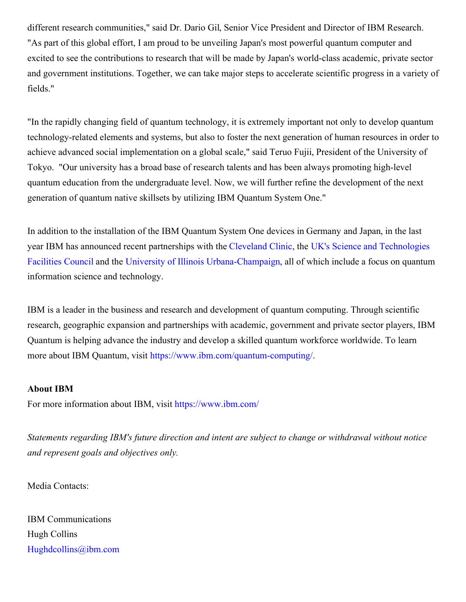different research communities," said Dr. Dario Gil, Senior Vice President and Director of IBM Research. "As part of this global effort, I am proud to be unveiling Japan's most powerful quantum computer and excited to see the contributions to research that will be made by Japan's world-class academic, private sector and government institutions. Together, we can take major steps to accelerate scientific progress in a variety of fields."

"In the rapidly changing field of quantum technology, it is extremely important not only to develop quantum technology-related elements and systems, but also to foster the next generation of human resources in order to achieve advanced social implementation on a global scale," said Teruo Fujii, President of the University of Tokyo. "Our university has a broad base of research talents and has been always promoting high-level quantum education from the undergraduate level. Now, we will further refine the development of the next generation of quantum native skillsets by utilizing IBM Quantum System One."

In addition to the installation of the IBM Quantum System One devices in Germany and Japan, in the last year IBM has announced recent partnerships with the [Cleveland](https://c212.net/c/link/?t=0&l=en&o=3239984-1&h=3789441514&u=https%3A%2F%2Fnewsroom.ibm.com%2F2021-03-30-Cleveland-Clinic-and-IBM-Unveil-Landmark-10-Year-Partnership-to-Accelerate-Discovery-in-Healthcare-and-Life-Sciences&a=Cleveland+Clinic) Clinic, the UK's Science and Technologies Facilities Council and the University of Illinois [Urbana-Champaign,](https://c212.net/c/link/?t=0&l=en&o=3239984-1&h=2734910462&u=https%3A%2F%2Fnewsroom.ibm.com%2F2021-06-03-UK-STFC-Hartree-Centre-and-IBM-Begin-Five-Year%2C-210-Million-Partnership-to-Accelerate-Discovery-and-Innovation-with-AI-and-Quantum-Computing&a=UK%27s+Science+and+Technologies+Facilities+Council) all of which include a focus on quantum information science and technology.

IBM is a leader in the business and research and development of quantum computing. Through scientific research, geographic expansion and partnerships with academic, government and private sector players, IBM Quantum is helping advance the industry and develop a skilled quantum workforce worldwide. To learn more about IBM Quantum, visit [https://www.ibm.com/quantum-computing/](https://c212.net/c/link/?t=0&l=en&o=3239984-1&h=4097925513&u=https%3A%2F%2Fc212.net%2Fc%2Flink%2F%3Ft%3D0%26l%3Den%26o%3D2675468-1%26h%3D1496885398%26u%3Dhttps%253A%252F%252Fwww.ibm.com%252Fquantum-computing%252F%26a%3Dhttps%253A%252F%252Fwww.ibm.com%252Fquantum-computing%252F&a=https%3A%2F%2Fwww.ibm.com%2Fquantum-computing%2F).

## **About IBM**

For more information about IBM, visit [https://www.ibm.com/](https://c212.net/c/link/?t=0&l=en&o=3239984-1&h=3212730447&u=https%3A%2F%2Fc212.net%2Fc%2Flink%2F%3Ft%3D0%26l%3Den%26o%3D3112925-1%26h%3D54534872%26u%3Dhttps%253A%252F%252Fwww.ibm.com%252F%26a%3Dhttps%253A%252F%252Fwww.ibm.com%252F&a=https%3A%2F%2Fwww.ibm.com%2F)

*Statements regarding IBM's future direction and intent are subject to change or withdrawal without notice and represent goals and objectives only.*

Media Contacts:

IBM Communications Hugh Collins [Hughdcollins@ibm.com](mailto:Hughdcollins@ibm.com)